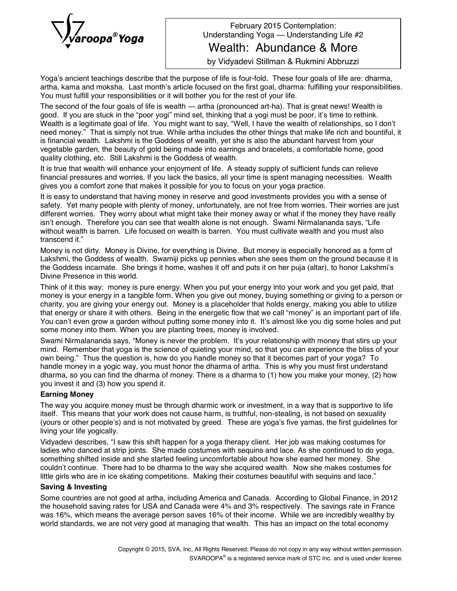

February 2015 Contemplation: Understanding Yoga — Understanding Life #2

Wealth: Abundance & More

by Vidyadevi Stillman & Rukmini Abbruzzi

Yoga's ancient teachings describe that the purpose of life is four-fold. These four goals of life are: dharma, artha, kama and moksha. Last month's article focused on the first goal, dharma: fulfilling your responsibilities. You must fulfill your responsibilities or it will bother you for the rest of your life.

The second of the four goals of life is wealth - artha (pronounced art-ha). That is great news! Wealth is good. If you are stuck in the "poor yogi" mind set, thinking that a yogi must be poor, it's time to rethink. Wealth is a legitimate goal of life. You might want to say, "Well, I have the wealth of relationships, so I don't need money.î That is simply not true. While artha includes the other things that make life rich and bountiful, it is financial wealth. Lakshmi is the Goddess of wealth, yet she is also the abundant harvest from your vegetable garden, the beauty of gold being made into earrings and bracelets, a comfortable home, good quality clothing, etc. Still Lakshmi is the Goddess of wealth.

It is true that wealth will enhance your enjoyment of life. A steady supply of sufficient funds can relieve financial pressures and worries. If you lack the basics, all your time is spent managing necessities. Wealth gives you a comfort zone that makes it possible for you to focus on your yoga practice.

It is easy to understand that having money in reserve and good investments provides you with a sense of safety. Yet many people with plenty of money, unfortunately, are not free from worries. Their worries are just different worries. They worry about what might take their money away or what if the money they have really isn't enough. Therefore you can see that wealth alone is not enough. Swami Nirmalananda says, "Life without wealth is barren. Life focused on wealth is barren. You must cultivate wealth and you must also transcend it."

Money is not dirty. Money is Divine, for everything is Divine. But money is especially honored as a form of Lakshmi, the Goddess of wealth. Swamiji picks up pennies when she sees them on the ground because it is the Goddess incarnate. She brings it home, washes it off and puts it on her puja (altar), to honor Lakshmiís Divine Presence in this world.

Think of it this way: money is pure energy. When you put your energy into your work and you get paid, that money is your energy in a tangible form. When you give out money, buying something or giving to a person or charity*,* you are giving your energy out. Money is a placeholder that holds energy, making you able to utilize that energy or share it with others. Being in the energetic flow that we call "money" is an important part of life. You can't even grow a garden without putting some money into it. It's almost like you dig some holes and put some money into them. When you are planting trees, money is involved.

Swami Nirmalananda says, "Money is never the problem. It's your relationship with money that stirs up your mind. Remember that yoga is the science of quieting your mind, so that you can experience the bliss of your own being.î Thus the question is, how do you handle money so that it becomes part of your yoga? To handle money in a yogic way, you must honor the dharma of artha. This is why you must first understand dharma, so you can find the dharma of money. There is a dharma to (1) how you make your money, (2) how you invest it and (3) how you spend it.

## **Earning Money**

The way you acquire money must be through dharmic work or investment, in a way that is supportive to life itself. This means that your work does not cause harm, is truthful, non-stealing, is not based on sexuality (yours or other people's) and is not motivated by greed. These are yoga's five yamas, the first guidelines for living your life yogically.

Vidyadevi describes, "I saw this shift happen for a yoga therapy client. Her job was making costumes for ladies who danced at strip joints. She made costumes with sequins and lace. As she continued to do yoga, something shifted inside and she started feeling uncomfortable about how she earned her money. She couldnít continue. There had to be dharma to the way she acquired wealth. Now she makes costumes for little girls who are in ice skating competitions. Making their costumes beautiful with sequins and lace."

## **Saving & Investing**

Some countries are not good at artha, including America and Canada. According to Global Finance, in 2012 the household saving rates for USA and Canada were 4% and 3% respectively. The savings rate in France was 16%, which means the average person saves 16% of their income. While we are incredibly wealthy by world standards, we are not very good at managing that wealth. This has an impact on the total economy